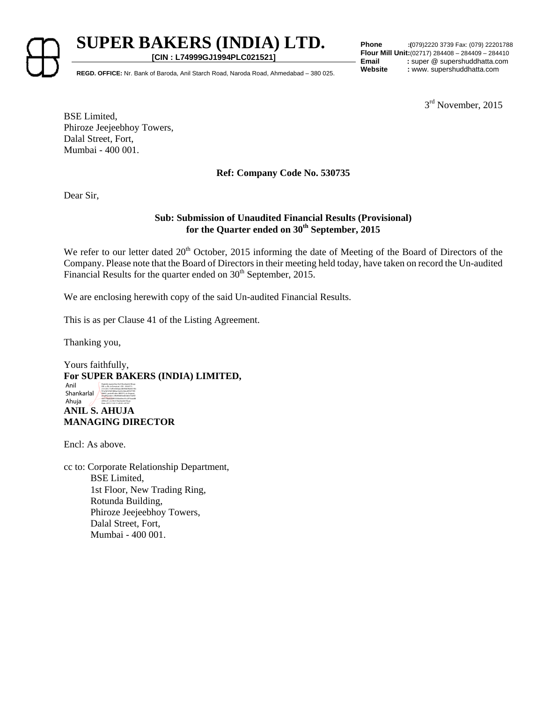

**SUPER BAKERS (INDIA) LTD. [CIN : L74999GJ1994PLC021521]**

**Phone :(**079)2220 3739 Fax: (079) 22201788 **Flour Mill Unit:**(02717) 284408 – 284409 – 284410 **Email** : super @ supershuddhatta.com

**Website :** www. supershuddhatta.com **REGD. OFFICE:** Nr. Bank of Baroda, Anil Starch Road, Naroda Road, Ahmedabad – 380 025.

 $3<sup>rd</sup>$  November, 2015

BSE Limited, Phiroze Jeejeebhoy Towers, Dalal Street, Fort, Mumbai - 400 001.

### **Ref: Company Code No. 530735**

Dear Sir,

### **Sub: Submission of Unaudited Financial Results (Provisional) for the Quarter ended on 30th September, 2015**

We refer to our letter dated 20<sup>th</sup> October, 2015 informing the date of Meeting of the Board of Directors of the Company. Please note that the Board of Directors in their meeting held today, have taken on record the Un-audited Financial Results for the quarter ended on 30<sup>th</sup> September, 2015.

We are enclosing herewith copy of the said Un-audited Financial Results.

This is as per Clause 41 of the Listing Agreement.

Thanking you,

Yours faithfully, **For SUPER BAKERS (INDIA) LIMITED, ANIL S. AHUJA MANAGING DIRECTOR** Anil Shankarlal Ahuja Digitally signed by Anil Shankarlal Ahuja DN: c=IN, o=Personal , CID - 3924711, 2.5.4.20=11df1e663aacdb59bb9b24e10b f51a9d129d7d82ae3ee5c0decd9547785 5b841, postalCode=380015, st=Gujarat, serialNumber=3ffd93683ed63d6e732f6f cb417faa6684f55550ab5ec91c2f73aaa88 e094c27, cn=Anil Shankarlal Ahuja Date: 2015.11.03 11:29:30 +05'30'

Encl: As above.

cc to: Corporate Relationship Department, BSE Limited, 1st Floor, New Trading Ring, Rotunda Building, Phiroze Jeejeebhoy Towers, Dalal Street, Fort, Mumbai - 400 001.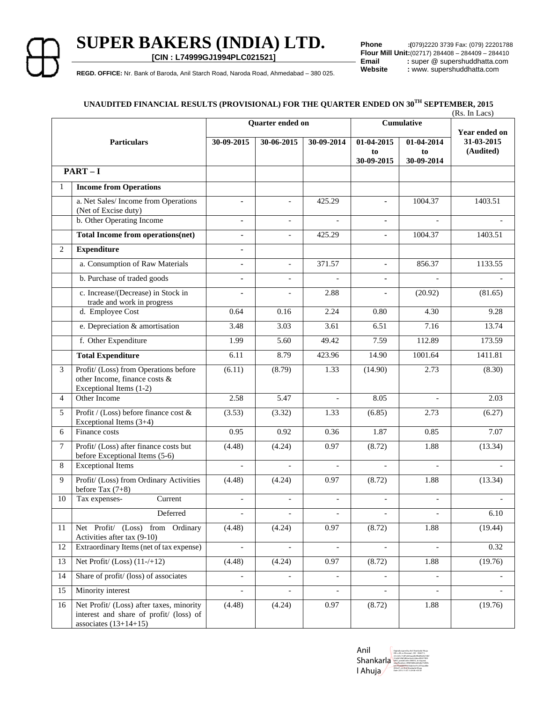# **SUPER BAKERS (INDIA) LTD.**

**[CIN : L74999GJ1994PLC021521]**

**Phone :(**079)2220 3739 Fax: (079) 22201788 **Flour Mill Unit:**(02717) 284408 – 284409 – 284410<br>**Email** : super @ supershuddhatta.com **Email** : super @ supershuddhatta.com<br> **Website** : www. supershuddhatta.com

REGD. OFFICE: Nr. Bank of Baroda, Anil Starch Road, Naroda Road, Ahmedabad - 380 025. **Website : www. supershuddhatta.com** 

## **UNAUDITED FINANCIAL RESULTS (PROVISIONAL) FOR THE QUARTER ENDED ON 30TH SEPTEMBER, 2015**

|                |                                                                                                                |                          |                          |                          |                              |                          | (Rs. In Lacs) |
|----------------|----------------------------------------------------------------------------------------------------------------|--------------------------|--------------------------|--------------------------|------------------------------|--------------------------|---------------|
|                |                                                                                                                | Quarter ended on         |                          |                          | Cumulative                   |                          | Year ended on |
|                | <b>Particulars</b>                                                                                             | 30-09-2015               | 30-06-2015               | 30-09-2014               | 01-04-2015                   | 01-04-2014               | 31-03-2015    |
|                |                                                                                                                |                          |                          |                          | to                           | to                       | (Audited)     |
|                | $PART-I$                                                                                                       |                          |                          |                          | 30-09-2015                   | 30-09-2014               |               |
| 1              | <b>Income from Operations</b>                                                                                  |                          |                          |                          |                              |                          |               |
|                |                                                                                                                |                          |                          |                          |                              |                          |               |
|                | a. Net Sales/Income from Operations<br>(Net of Excise duty)                                                    | $\blacksquare$           | $\overline{\phantom{a}}$ | 425.29                   | $\blacksquare$               | 1004.37                  | 1403.51       |
|                | b. Other Operating Income                                                                                      |                          |                          |                          |                              |                          |               |
|                | Total Income from operations(net)                                                                              | $\blacksquare$           |                          | 425.29                   | $\blacksquare$               | 1004.37                  | 1403.51       |
| 2              | <b>Expenditure</b>                                                                                             | $\blacksquare$           |                          |                          |                              |                          |               |
|                | a. Consumption of Raw Materials                                                                                |                          | $\overline{a}$           | 371.57                   | $\mathbf{r}$                 | 856.37                   | 1133.55       |
|                | b. Purchase of traded goods                                                                                    | $\mathbf{r}$             | $\blacksquare$           | $\overline{a}$           | $\blacksquare$               | $\overline{a}$           |               |
|                | c. Increase/(Decrease) in Stock in<br>trade and work in progress                                               | $\blacksquare$           | $\overline{\phantom{a}}$ | 2.88                     | $\blacksquare$               | (20.92)                  | (81.65)       |
|                | d. Employee Cost                                                                                               | 0.64                     | 0.16                     | 2.24                     | 0.80                         | 4.30                     | 9.28          |
|                | e. Depreciation & amortisation                                                                                 | 3.48                     | 3.03                     | 3.61                     | 6.51                         | 7.16                     | 13.74         |
|                | f. Other Expenditure                                                                                           | 1.99                     | 5.60                     | 49.42                    | 7.59                         | 112.89                   | 173.59        |
|                | <b>Total Expenditure</b>                                                                                       | 6.11                     | 8.79                     | 423.96                   | 14.90                        | 1001.64                  | 1411.81       |
| 3              | Profit/ (Loss) from Operations before<br>other Income, finance costs &<br>Exceptional Items (1-2)              | (6.11)                   | (8.79)                   | 1.33                     | (14.90)                      | 2.73                     | (8.30)        |
| $\overline{4}$ | Other Income                                                                                                   | 2.58                     | 5.47                     | $\overline{\phantom{a}}$ | 8.05                         | $\blacksquare$           | 2.03          |
| 5              | Profit / (Loss) before finance cost &<br>Exceptional Items (3+4)                                               | (3.53)                   | (3.32)                   | 1.33                     | (6.85)                       | 2.73                     | (6.27)        |
| 6              | Finance costs                                                                                                  | 0.95                     | 0.92                     | 0.36                     | 1.87                         | 0.85                     | 7.07          |
| $\tau$         | Profit/ (Loss) after finance costs but<br>before Exceptional Items (5-6)                                       | (4.48)                   | (4.24)                   | 0.97                     | (8.72)                       | 1.88                     | (13.34)       |
| 8              | <b>Exceptional Items</b>                                                                                       |                          |                          |                          |                              |                          |               |
| 9              | Profit/ (Loss) from Ordinary Activities<br>before Tax $(7+8)$                                                  | (4.48)                   | (4.24)                   | 0.97                     | (8.72)                       | 1.88                     | (13.34)       |
| 10             | Current<br>Tax expenses-                                                                                       | $\overline{\phantom{a}}$ | $\overline{\phantom{a}}$ | $\overline{\phantom{a}}$ | $\overline{\phantom{a}}$     | $\overline{\phantom{a}}$ |               |
|                | Deferred                                                                                                       |                          |                          |                          |                              |                          | 6.10          |
| 11             | Net Profit/ (Loss) from Ordinary<br>Activities after tax (9-10)                                                | (4.48)                   | (4.24)                   | 0.97                     | (8.72)                       | 1.88                     | (19.44)       |
| 12             | Extraordinary Items (net of tax expense)                                                                       | $\blacksquare$           | $\blacksquare$           | $\overline{\phantom{a}}$ | $\overline{\phantom{a}}$     | $\overline{\phantom{a}}$ | 0.32          |
| 13             | Net Profit/ $(Loss)$ $(11-/+12)$                                                                               | (4.48)                   | (4.24)                   | 0.97                     | (8.72)                       | 1.88                     | (19.76)       |
| 14             | Share of profit/ (loss) of associates                                                                          | $\blacksquare$           | $\overline{\phantom{a}}$ | $\overline{\phantom{a}}$ | $\overline{\phantom{a}}$     | $\blacksquare$           |               |
| 15             | Minority interest                                                                                              |                          | $\overline{\phantom{a}}$ | $\overline{\phantom{a}}$ | $\qquad \qquad \blacksquare$ | $\overline{\phantom{a}}$ |               |
| 16             | Net Profit/ (Loss) after taxes, minority<br>interest and share of profit/ (loss) of<br>associates $(13+14+15)$ | (4.48)                   | (4.24)                   | 0.97                     | (8.72)                       | 1.88                     | (19.76)       |

Anil Shankarla l Ahuja Digitally signed by Anil Shankarlal Ahuja DN: c=IN, o=Personal , CID - 3924711, 2.5.4.20=11df1e663aacdb59bb9b24e10bf 51a9d129d7d82ae3ee5c0decd95477855 b841, postalCode=380015, st=Gujarat, serialNumber=3ffd93683ed63d6e732f6fc b417faa6684f55550ab5ec91c2f73aaa88e 094c27, cn=Anil Shankarlal Ahuja Date: 2015.11.03 11:29:58 +05'30'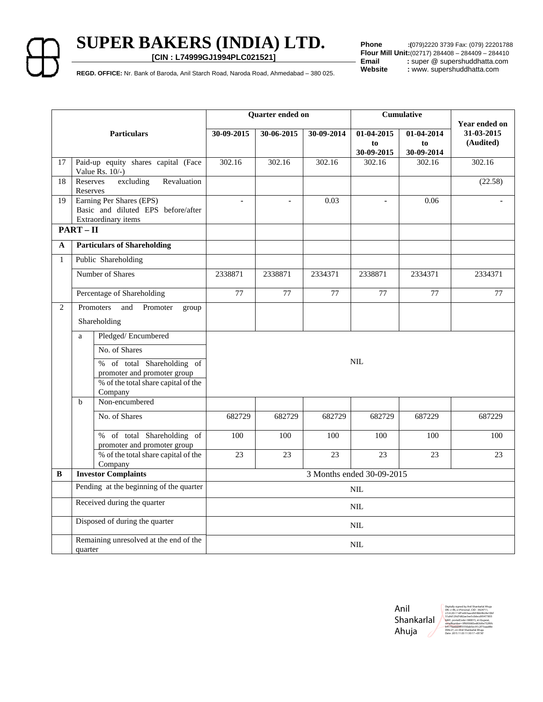**SUPER BAKERS (INDIA) LTD.** 

**[CIN : L74999GJ1994PLC021521]**

**Phone :(**079)2220 3739 Fax: (079) 22201788 **Flour Mill Unit:**(02717) 284408 – 284409 – 284410<br>**Email** : super @ supershuddhatta.com Email : super @ supershuddhatta.com<br>
Website : www. supershuddhatta.com

REGD. OFFICE: Nr. Bank of Baroda, Anil Starch Road, Naroda Road, Ahmedabad – 380 025. Website : www. supershuddhatta.com

|                             |                                                                                                                                              | Quarter ended on          |                |                 | Cumulative                     |                                | Year ended on           |
|-----------------------------|----------------------------------------------------------------------------------------------------------------------------------------------|---------------------------|----------------|-----------------|--------------------------------|--------------------------------|-------------------------|
| <b>Particulars</b>          |                                                                                                                                              | 30-09-2015                | 30-06-2015     | 30-09-2014      | 01-04-2015<br>to<br>30-09-2015 | 01-04-2014<br>to<br>30-09-2014 | 31-03-2015<br>(Audited) |
| 17                          | Paid-up equity shares capital (Face<br>Value Rs. $10/-$ )                                                                                    | 302.16                    | 302.16         | 302.16          | 302.16                         | 302.16                         | 302.16                  |
| 18                          | Reserves<br>excluding<br>Revaluation<br>Reserves                                                                                             |                           |                |                 |                                |                                | (22.58)                 |
| 19                          | Earning Per Shares (EPS)<br>Basic and diluted EPS before/after<br>Extraordinary items                                                        | $\blacksquare$            | $\blacksquare$ | 0.03            | $\overline{a}$                 | 0.06                           | ä,                      |
|                             | $PART - II$                                                                                                                                  |                           |                |                 |                                |                                |                         |
| A                           | <b>Particulars of Shareholding</b>                                                                                                           |                           |                |                 |                                |                                |                         |
| $\mathbf{1}$                | Public Shareholding                                                                                                                          |                           |                |                 |                                |                                |                         |
|                             | Number of Shares                                                                                                                             | 2338871                   | 2338871        | 2334371         | 2338871                        | 2334371                        | 2334371                 |
|                             | Percentage of Shareholding                                                                                                                   | $\overline{77}$           | 77             | $\overline{77}$ | 77                             | 77                             | 77                      |
| 2                           | and<br>Promoters<br>Promoter<br>group                                                                                                        |                           |                |                 |                                |                                |                         |
|                             | Shareholding                                                                                                                                 |                           |                |                 |                                |                                |                         |
|                             | Pledged/Encumbered<br>a<br>No. of Shares<br>% of total Shareholding of<br>promoter and promoter group<br>% of the total share capital of the |                           |                |                 | <b>NIL</b>                     |                                |                         |
|                             | Company<br>Non-encumbered<br>$\mathbf b$                                                                                                     |                           |                |                 |                                |                                |                         |
|                             | No. of Shares                                                                                                                                | 682729                    | 682729         | 682729          | 682729                         | 687229                         | 687229                  |
|                             | % of total Shareholding of<br>promoter and promoter group                                                                                    | 100                       | 100            | 100             | 100                            | 100                            | 100                     |
|                             | % of the total share capital of the<br>Company                                                                                               | 23                        | 23             | 23              | 23                             | 23                             | 23                      |
| B                           | <b>Investor Complaints</b>                                                                                                                   | 3 Months ended 30-09-2015 |                |                 |                                |                                |                         |
|                             | Pending at the beginning of the quarter                                                                                                      |                           |                |                 | <b>NIL</b>                     |                                |                         |
| Received during the quarter |                                                                                                                                              |                           | <b>NIL</b>     |                 |                                |                                |                         |
|                             | Disposed of during the quarter                                                                                                               |                           |                |                 | $\rm NIL$                      |                                |                         |
|                             | Remaining unresolved at the end of the<br>quarter                                                                                            |                           |                |                 | <b>NIL</b>                     |                                |                         |